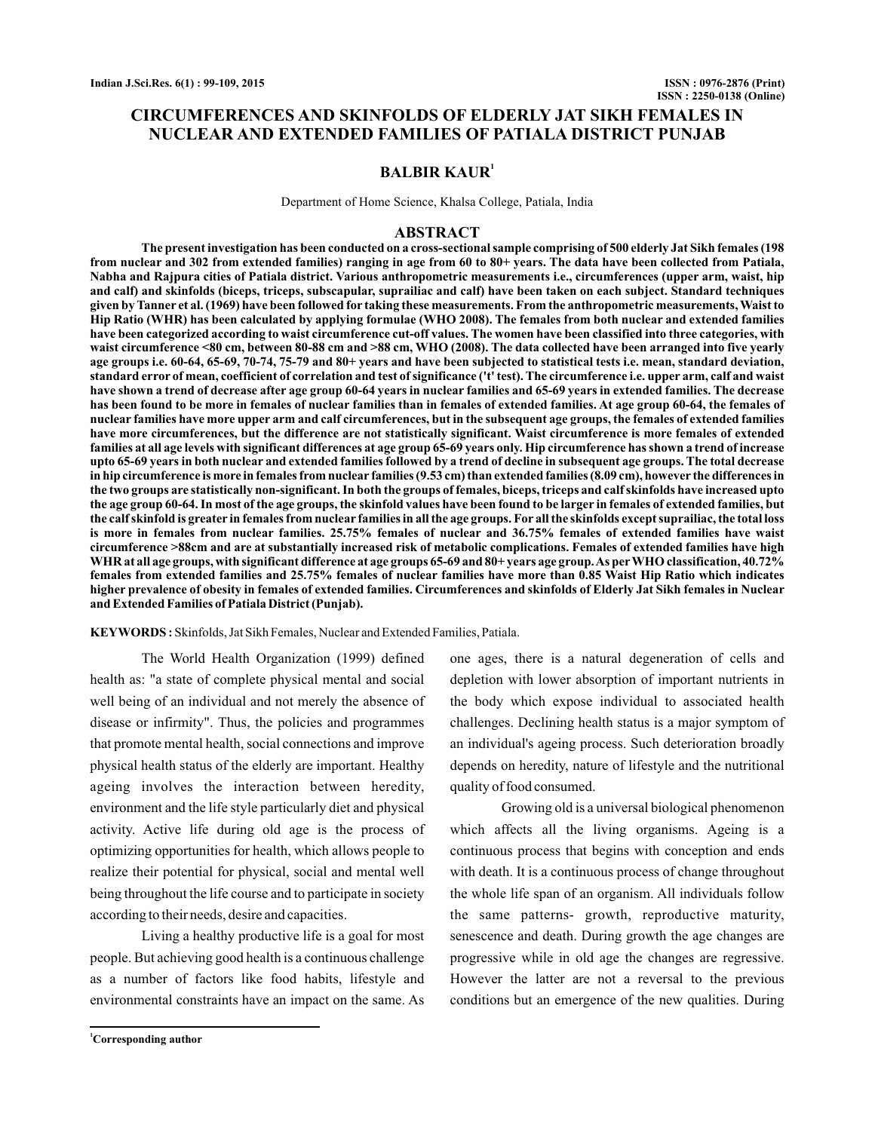## **CIRCUMFERENCES AND SKINFOLDS OF ELDERLY JAT SIKH FEMALES IN NUCLEAR AND EXTENDED FAMILIES OF PATIALA DISTRICT PUNJAB**

## **BALBIR KAUR<sup>1</sup>**

Department of Home Science, Khalsa College, Patiala, India

### **ABSTRACT**

**The present investigation has been conducted on a cross-sectional sample comprising of 500 elderly Jat Sikh females (198 from nuclear and 302 from extended families) ranging in age from 60 to 80+ years. The data have been collected from Patiala, Nabha and Rajpura cities of Patiala district. Various anthropometric measurements i.e., circumferences (upper arm, waist, hip and calf) and skinfolds (biceps, triceps, subscapular, suprailiac and calf) have been taken on each subject. Standard techniques given by Tanner et al. (1969) have been followed for taking these measurements. From the anthropometric measurements, Waist to Hip Ratio (WHR) has been calculated by applying formulae (WHO 2008). The females from both nuclear and extended families have been categorized according to waist circumference cut-off values. The women have been classified into three categories, with waist circumference <80 cm, between 80-88 cm and >88 cm, WHO (2008). The data collected have been arranged into five yearly age groups i.e. 60-64, 65-69, 70-74, 75-79 and 80+ years and have been subjected to statistical tests i.e. mean, standard deviation, standard error of mean, coefficient of correlation and test of significance ('t' test). The circumference i.e. upper arm, calf and waist have shown a trend of decrease after age group 60-64 years in nuclear families and 65-69 years in extended families. The decrease has been found to be more in females of nuclear families than in females of extended families. At age group 60-64, the females of nuclear families have more upper arm and calf circumferences, but in the subsequent age groups, the females of extended families have more circumferences, but the difference are not statistically significant. Waist circumference is more females of extended families at all age levels with significant differences at age group 65-69 years only. Hip circumference has shown a trend of increase upto 65-69 years in both nuclear and extended families followed by a trend of decline in subsequent age groups. The total decrease in hip circumference is more in females from nuclear families (9.53 cm) than extended families (8.09 cm), however the differences in the two groups are statistically non-significant. In both the groups of females, biceps, triceps and calf skinfolds have increased upto the age group 60-64. In most of the age groups, the skinfold values have been found to be larger in females of extended families, but the calf skinfold is greater in females from nuclear families in all the age groups. For all the skinfolds except suprailiac, the total loss is more in females from nuclear families. 25.75% females of nuclear and 36.75% females of extended families have waist circumference >88cm and are at substantially increased risk of metabolic complications. Females of extended families have high WHR at all age groups, with significant difference at age groups 65-69 and 80+ years age group.As perWHO classification, 40.72% females from extended families and 25.75% females of nuclear families have more than 0.85 Waist Hip Ratio which indicates higher prevalence of obesity in females of extended families. Circumferences and skinfolds of Elderly Jat Sikh females in Nuclear and Extended Families of Patiala District (Punjab).**

KEYWORDS: Skinfolds, Jat Sikh Females, Nuclear and Extended Families, Patiala.

The World Health Organization (1999) defined health as: "a state of complete physical mental and social well being of an individual and not merely the absence of disease or infirmity". Thus, the policies and programmes that promote mental health, social connections and improve physical health status of the elderly are important. Healthy ageing involves the interaction between heredity, environment and the life style particularly diet and physical activity. Active life during old age is the process of optimizing opportunities for health, which allows people to realize their potential for physical, social and mental well being throughout the life course and to participate in society according to their needs, desire and capacities.

Living a healthy productive life is a goal for most people. But achieving good health is a continuous challenge as a number of factors like food habits, lifestyle and environmental constraints have an impact on the same. As one ages, there is a natural degeneration of cells and depletion with lower absorption of important nutrients in the body which expose individual to associated health challenges. Declining health status is a major symptom of an individual's ageing process. Such deterioration broadly depends on heredity, nature of lifestyle and the nutritional quality of food consumed.

Growing old is a universal biological phenomenon which affects all the living organisms. Ageing is a continuous process that begins with conception and ends with death. It is a continuous process of change throughout the whole life span of an organism. All individuals follow the same patterns- growth, reproductive maturity, senescence and death. During growth the age changes are progressive while in old age the changes are regressive. However the latter are not a reversal to the previous conditions but an emergence of the new qualities. During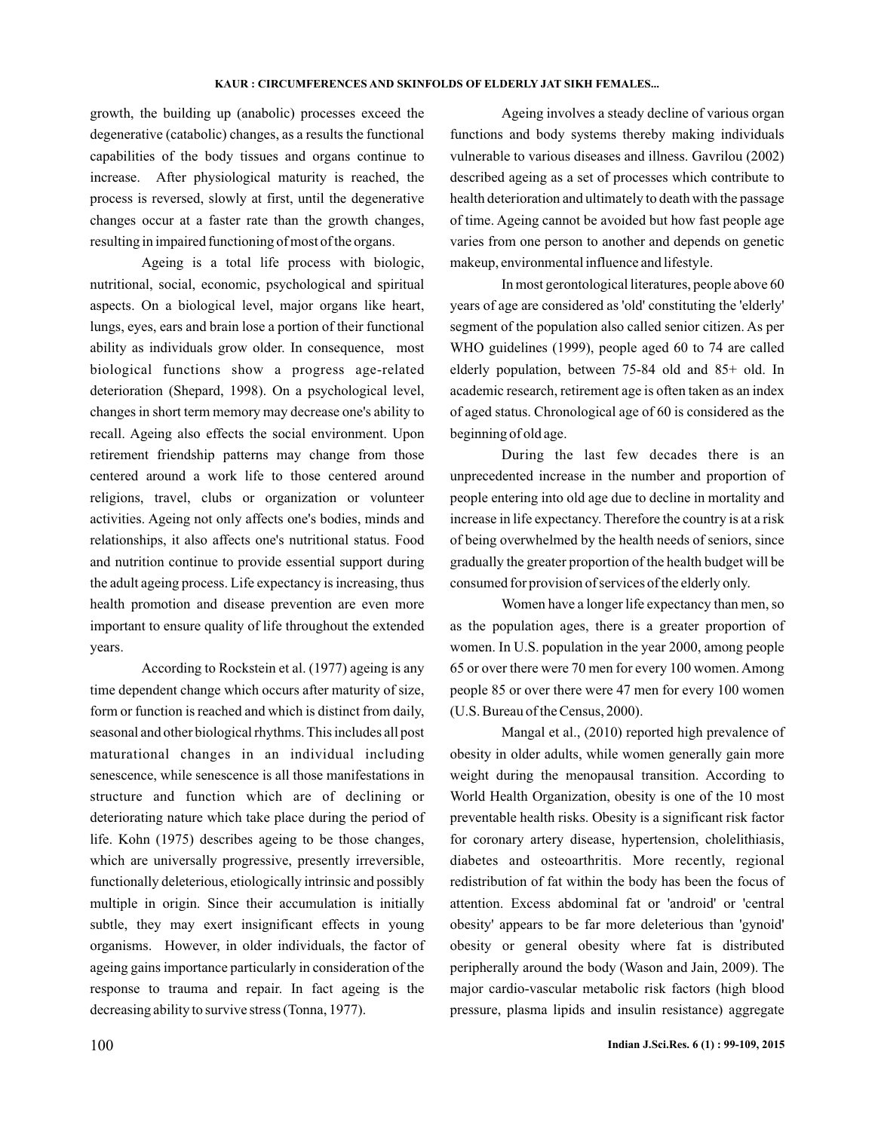growth, the building up (anabolic) processes exceed the degenerative (catabolic) changes, as a results the functional capabilities of the body tissues and organs continue to increase. After physiological maturity is reached, the process is reversed, slowly at first, until the degenerative changes occur at a faster rate than the growth changes, resulting in impaired functioning of most of the organs.

Ageing is a total life process with biologic, nutritional, social, economic, psychological and spiritual aspects. On a biological level, major organs like heart, lungs, eyes, ears and brain lose a portion of their functional ability as individuals grow older. In consequence, most biological functions show a progress age-related deterioration (Shepard, 1998). On a psychological level, changes in short term memory may decrease one's ability to recall. Ageing also effects the social environment. Upon retirement friendship patterns may change from those centered around a work life to those centered around religions, travel, clubs or organization or volunteer activities. Ageing not only affects one's bodies, minds and relationships, it also affects one's nutritional status. Food and nutrition continue to provide essential support during the adult ageing process. Life expectancy is increasing, thus health promotion and disease prevention are even more important to ensure quality of life throughout the extended years.

According to Rockstein et al. (1977) ageing is any time dependent change which occurs after maturity of size, form or function is reached and which is distinct from daily, seasonal and other biological rhythms. This includes all post maturational changes in an individual including senescence, while senescence is all those manifestations in structure and function which are of declining or deteriorating nature which take place during the period of life. Kohn (1975) describes ageing to be those changes, which are universally progressive, presently irreversible, functionally deleterious, etiologically intrinsic and possibly multiple in origin. Since their accumulation is initially subtle, they may exert insignificant effects in young organisms. However, in older individuals, the factor of ageing gains importance particularly in consideration of the response to trauma and repair. In fact ageing is the decreasing ability to survive stress (Tonna, 1977).

Ageing involves a steady decline of various organ functions and body systems thereby making individuals vulnerable to various diseases and illness. Gavrilou (2002) described ageing as a set of processes which contribute to health deterioration and ultimately to death with the passage of time. Ageing cannot be avoided but how fast people age varies from one person to another and depends on genetic makeup, environmental influence and lifestyle.

In most gerontological literatures, people above 60 years of age are considered as 'old' constituting the 'elderly' segment of the population also called senior citizen. As per WHO guidelines (1999), people aged 60 to 74 are called elderly population, between 75-84 old and 85+ old. In academic research, retirement age is often taken as an index of aged status. Chronological age of 60 is considered as the beginning of old age.

During the last few decades there is an unprecedented increase in the number and proportion of people entering into old age due to decline in mortality and increase in life expectancy. Therefore the country is at a risk of being overwhelmed by the health needs of seniors, since gradually the greater proportion of the health budget will be consumed for provision of services of the elderly only.

Women have a longer life expectancy than men, so as the population ages, there is a greater proportion of women. In U.S. population in the year 2000, among people 65 or over there were 70 men for every 100 women. Among people 85 or over there were 47 men for every 100 women (U.S. Bureau of the Census, 2000).

Mangal et al., (2010) reported high prevalence of obesity in older adults, while women generally gain more weight during the menopausal transition. According to World Health Organization, obesity is one of the 10 most preventable health risks. Obesity is a significant risk factor for coronary artery disease, hypertension, cholelithiasis, diabetes and osteoarthritis. More recently, regional redistribution of fat within the body has been the focus of attention. Excess abdominal fat or 'android' or 'central obesity' appears to be far more deleterious than 'gynoid' obesity or general obesity where fat is distributed peripherally around the body (Wason and Jain, 2009). The major cardio-vascular metabolic risk factors (high blood pressure, plasma lipids and insulin resistance) aggregate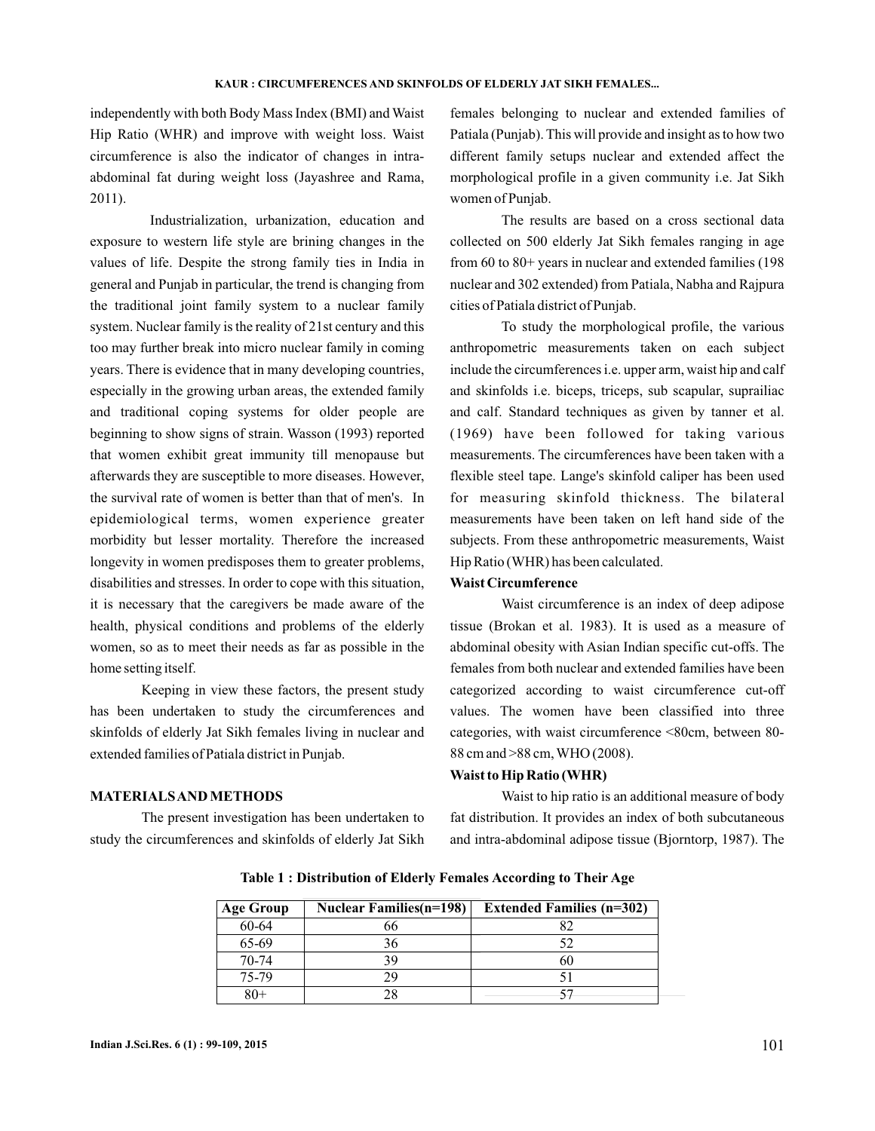independently with both Body Mass Index (BMI) and Waist Hip Ratio (WHR) and improve with weight loss. Waist circumference is also the indicator of changes in intraabdominal fat during weight loss (Jayashree and Rama, 2011).

Industrialization, urbanization, education and exposure to western life style are brining changes in the values of life. Despite the strong family ties in India in general and Punjab in particular, the trend is changing from the traditional joint family system to a nuclear family system. Nuclear family is the reality of 21st century and this too may further break into micro nuclear family in coming years. There is evidence that in many developing countries, especially in the growing urban areas, the extended family and traditional coping systems for older people are beginning to show signs of strain. Wasson (1993) reported that women exhibit great immunity till menopause but afterwards they are susceptible to more diseases. However, the survival rate of women is better than that of men's. In epidemiological terms, women experience greater morbidity but lesser mortality. Therefore the increased longevity in women predisposes them to greater problems, disabilities and stresses. In order to cope with this situation, it is necessary that the caregivers be made aware of the health, physical conditions and problems of the elderly women, so as to meet their needs as far as possible in the home setting itself.

Keeping in view these factors, the present study has been undertaken to study the circumferences and skinfolds of elderly Jat Sikh females living in nuclear and extended families of Patiala district in Punjab.

## **MATERIALSAND METHODS**

The present investigation has been undertaken to study the circumferences and skinfolds of elderly Jat Sikh females belonging to nuclear and extended families of Patiala (Punjab). This will provide and insight as to how two different family setups nuclear and extended affect the morphological profile in a given community i.e. Jat Sikh women of Punjab.

The results are based on a cross sectional data collected on 500 elderly Jat Sikh females ranging in age from 60 to 80+ years in nuclear and extended families (198 nuclear and 302 extended) from Patiala, Nabha and Rajpura cities of Patiala district of Punjab.

To study the morphological profile, the various anthropometric measurements taken on each subject include the circumferences i.e. upper arm, waist hip and calf and skinfolds i.e. biceps, triceps, sub scapular, suprailiac and calf. Standard techniques as given by tanner et al. (1969) have been followed for taking various measurements. The circumferences have been taken with a flexible steel tape. Lange's skinfold caliper has been used for measuring skinfold thickness. The bilateral measurements have been taken on left hand side of the subjects. From these anthropometric measurements, Waist Hip Ratio (WHR) has been calculated.

## **Waist Circumference**

Waist circumference is an index of deep adipose tissue (Brokan et al. 1983). It is used as a measure of abdominal obesity with Asian Indian specific cut-offs. The females from both nuclear and extended families have been categorized according to waist circumference cut-off values. The women have been classified into three categories, with waist circumference <80cm, between 80- 88 cm and >88 cm, WHO (2008).

### **Waist to Hip Ratio (WHR)**

Waist to hip ratio is an additional measure of body fat distribution. It provides an index of both subcutaneous and intra-abdominal adipose tissue (Bjorntorp, 1987). The

| <b>Age Group</b> | <b>Nuclear Families(n=198)</b> | <b>Extended Families (n=302)</b> |
|------------------|--------------------------------|----------------------------------|
| 60-64            |                                |                                  |
| 65-69            |                                |                                  |
| 70-74            |                                | იເ                               |
| 75-79            |                                |                                  |
|                  |                                |                                  |

**Table 1 : Distribution of Elderly Females According to Their Age**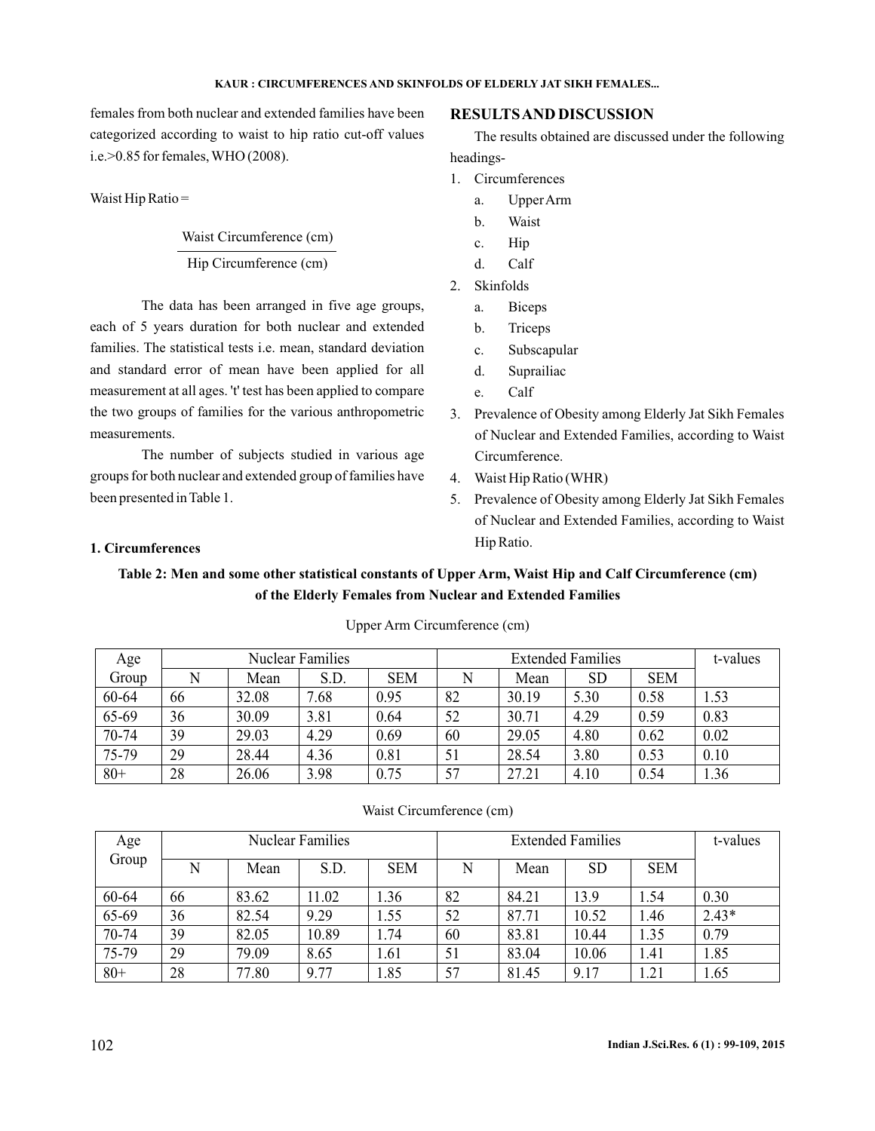females from both nuclear and extended families have been categorized according to waist to hip ratio cut-off values i.e.>0.85 for females, WHO (2008).

Waist Hip Ratio =

# Waist Circumference (cm) Hip Circumference (cm)

The data has been arranged in five age groups, each of 5 years duration for both nuclear and extended families. The statistical tests i.e. mean, standard deviation and standard error of mean have been applied for all measurement at all ages. 't' test has been applied to compare the two groups of families for the various anthropometric measurements.

The number of subjects studied in various age groups for both nuclear and extended group of families have been presented in Table 1.

## **RESULTSAND DISCUSSION**

The results obtained are discussed under the following headings-

- 1. Circumferences
	- a. UpperArm
	- b. Waist
	- c. Hip
	- d. Calf
- 2. Skinfolds
	- a. Biceps
	- b. Triceps
	- c. Subscapular
	- d. Suprailiac
	- e. Calf
- 3. Prevalence of Obesity among Elderly Jat Sikh Females of Nuclear and Extended Families, according to Waist Circumference.
- 4. Waist Hip Ratio (WHR)
- 5. Prevalence of Obesity among Elderly Jat Sikh Females of Nuclear and Extended Families, according to Waist Hip Ratio.

## **1. Circumferences**

## **Table 2: Men and some other statistical constants of Upper Arm, Waist Hip and Calf Circumference (cm) of the Elderly Females from Nuclear and Extended Families**

| Age    |    | Nuclear Families |      |            |    | <b>Extended Families</b> |           |            |      |  |
|--------|----|------------------|------|------------|----|--------------------------|-----------|------------|------|--|
| Group  |    | Mean             | S.D. | <b>SEM</b> |    | Mean                     | <b>SD</b> | <b>SEM</b> |      |  |
| 60-64  | 66 | 32.08            | 7.68 | 0.95       | 82 | 30.19                    | 5.30      | 0.58       | 1.53 |  |
| 65-69  | 36 | 30.09            | 3.81 | 0.64       | 52 | 30.71                    | 4.29      | 0.59       | 0.83 |  |
| 70-74  | 39 | 29.03            | 4.29 | 0.69       | 60 | 29.05                    | 4.80      | 0.62       | 0.02 |  |
| 75-79  | 29 | 28.44            | 4.36 | 0.81       | 51 | 28.54                    | 3.80      | 0.53       | 0.10 |  |
| $80 +$ | 28 | 26.06            | 3.98 | 0.75       | 57 | 27.21                    | 4.10      | 0.54       | 1.36 |  |

## Upper Arm Circumference (cm)

### Waist Circumference (cm)

| Age   |    |       | <b>Nuclear Families</b> |            |    |       | <b>Extended Families</b> |            | t-values |
|-------|----|-------|-------------------------|------------|----|-------|--------------------------|------------|----------|
| Group | N  | Mean  | S.D.                    | <b>SEM</b> | N  | Mean  | <b>SD</b>                | <b>SEM</b> |          |
| 60-64 | 66 | 83.62 | 11.02                   | 1.36       | 82 | 84.21 | 13.9                     | 1.54       | 0.30     |
| 65-69 | 36 | 82.54 | 9.29                    | 1.55       | 52 | 87.71 | 10.52                    | 1.46       | $2.43*$  |
| 70-74 | 39 | 82.05 | 10.89                   | 1.74       | 60 | 83.81 | 10.44                    | 1.35       | 0.79     |
| 75-79 | 29 | 79.09 | 8.65                    | 1.61       | 51 | 83.04 | 10.06                    | 1.41       | 1.85     |
| $80+$ | 28 | 77.80 | 9.77                    | 1.85       | 57 | 81.45 | 9.17                     | 1.21       | 1.65     |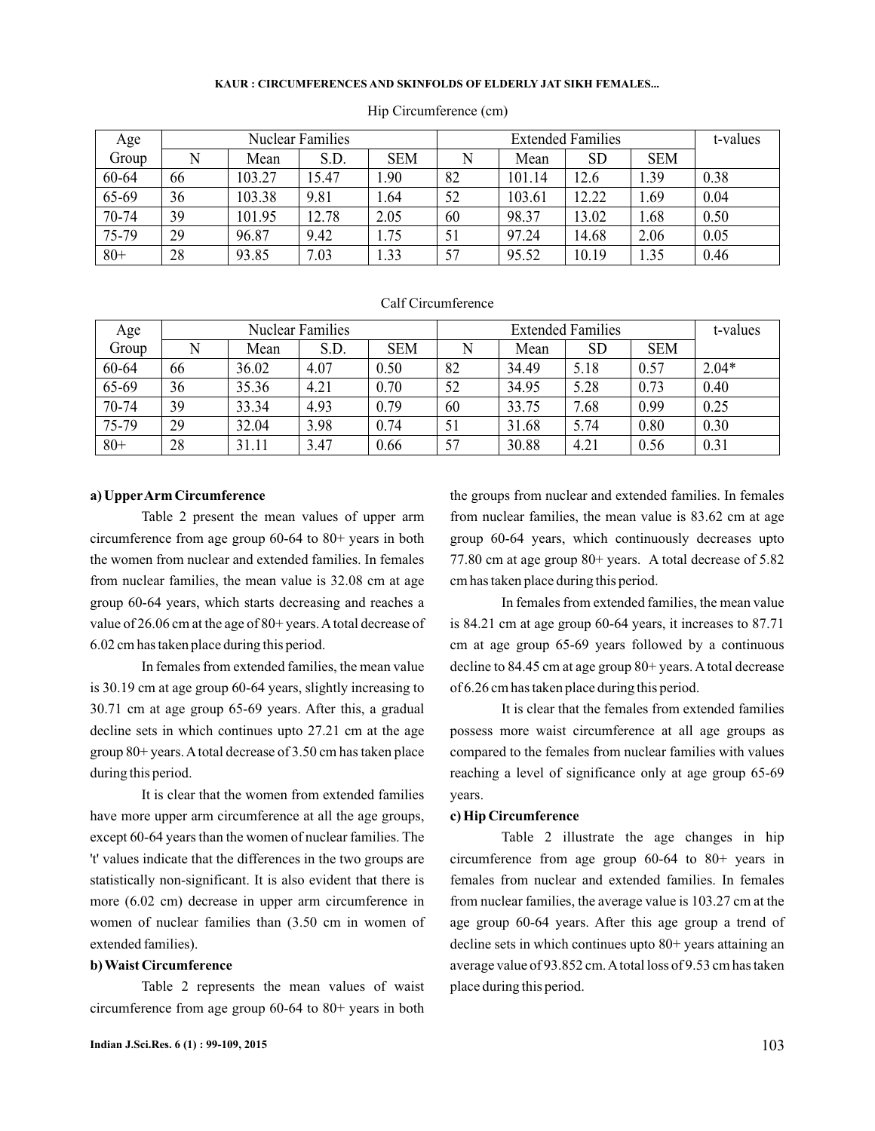| Age    |    |        | <b>Nuclear Families</b> |            |    |        | <b>Extended Families</b> |            | t-values |
|--------|----|--------|-------------------------|------------|----|--------|--------------------------|------------|----------|
| Group  | N  | Mean   | S.D.                    | <b>SEM</b> |    | Mean   | SD                       | <b>SEM</b> |          |
| 60-64  | 66 | 103.27 | 15.47                   | .90        | 82 | 101.14 | 12.6                     | .39        | 0.38     |
| 65-69  | 36 | 103.38 | 9.81                    | 1.64       | 52 | 103.61 | 12.22                    | .69        | 0.04     |
| 70-74  | 39 | 101.95 | 12.78                   | 2.05       | 60 | 98.37  | 13.02                    | .68        | 0.50     |
| 75-79  | 29 | 96.87  | 9.42                    | 1.75       | 51 | 97.24  | 14.68                    | 2.06       | 0.05     |
| $80 +$ | 28 | 93.85  | 7.03                    | 1.33       | 57 | 95.52  | 10.19                    | 1.35       | 0.46     |

### Hip Circumference (cm)

### Calf Circumference

| Age   |    |       | <b>Nuclear Families</b> |            |    |       | <b>Extended Families</b> |            | t-values |
|-------|----|-------|-------------------------|------------|----|-------|--------------------------|------------|----------|
| Group |    | Mean  | S.D.                    | <b>SEM</b> |    | Mean  | <b>SD</b>                | <b>SEM</b> |          |
| 60-64 | 66 | 36.02 | 4.07                    | 0.50       | 82 | 34.49 | 5.18                     | 0.57       | $2.04*$  |
| 65-69 | 36 | 35.36 | 4.21                    | 0.70       | 52 | 34.95 | 5.28                     | 0.73       | 0.40     |
| 70-74 | 39 | 33.34 | 4.93                    | 0.79       | 60 | 33.75 | 7.68                     | 0.99       | 0.25     |
| 75-79 | 29 | 32.04 | 3.98                    | 0.74       | 51 | 31.68 | 5.74                     | 0.80       | 0.30     |
| $80+$ | 28 | 31.11 | 3.47                    | 0.66       | 57 | 30.88 | 4.21                     | 0.56       | 0.31     |

## **a) UpperArm Circumference**

Table 2 present the mean values of upper arm circumference from age group 60-64 to 80+ years in both the women from nuclear and extended families. In females from nuclear families, the mean value is 32.08 cm at age group 60-64 years, which starts decreasing and reaches a value of 26.06 cm at the age of 80+ years. A total decrease of 6.02 cm has taken place during this period.

In females from extended families, the mean value is 30.19 cm at age group 60-64 years, slightly increasing to 30.71 cm at age group 65-69 years. After this, a gradual decline sets in which continues upto 27.21 cm at the age group 80+ years.Atotal decrease of 3.50 cm has taken place during this period.

It is clear that the women from extended families have more upper arm circumference at all the age groups, except 60-64 years than the women of nuclear families. The 't' values indicate that the differences in the two groups are statistically non-significant. It is also evident that there is more (6.02 cm) decrease in upper arm circumference in women of nuclear families than (3.50 cm in women of extended families).

## **b) Waist Circumference**

Table 2 represents the mean values of waist circumference from age group 60-64 to 80+ years in both

In females from extended families, the mean value is 84.21 cm at age group 60-64 years, it increases to 87.71 cm at age group 65-69 years followed by a continuous decline to 84.45 cm at age group 80+ years. A total decrease of 6.26 cm has taken place during this period.

cm has taken place during this period.

It is clear that the females from extended families possess more waist circumference at all age groups as compared to the females from nuclear families with values reaching a level of significance only at age group 65-69 years.

the groups from nuclear and extended families. In females from nuclear families, the mean value is 83.62 cm at age group 60-64 years, which continuously decreases upto 77.80 cm at age group 80+ years. A total decrease of 5.82

## **c) Hip Circumference**

Table 2 illustrate the age changes in hip circumference from age group 60-64 to 80+ years in females from nuclear and extended families. In females from nuclear families, the average value is 103.27 cm at the age group 60-64 years. After this age group a trend of decline sets in which continues upto 80+ years attaining an average value of 93.852 cm.Atotal loss of 9.53 cm has taken place during this period.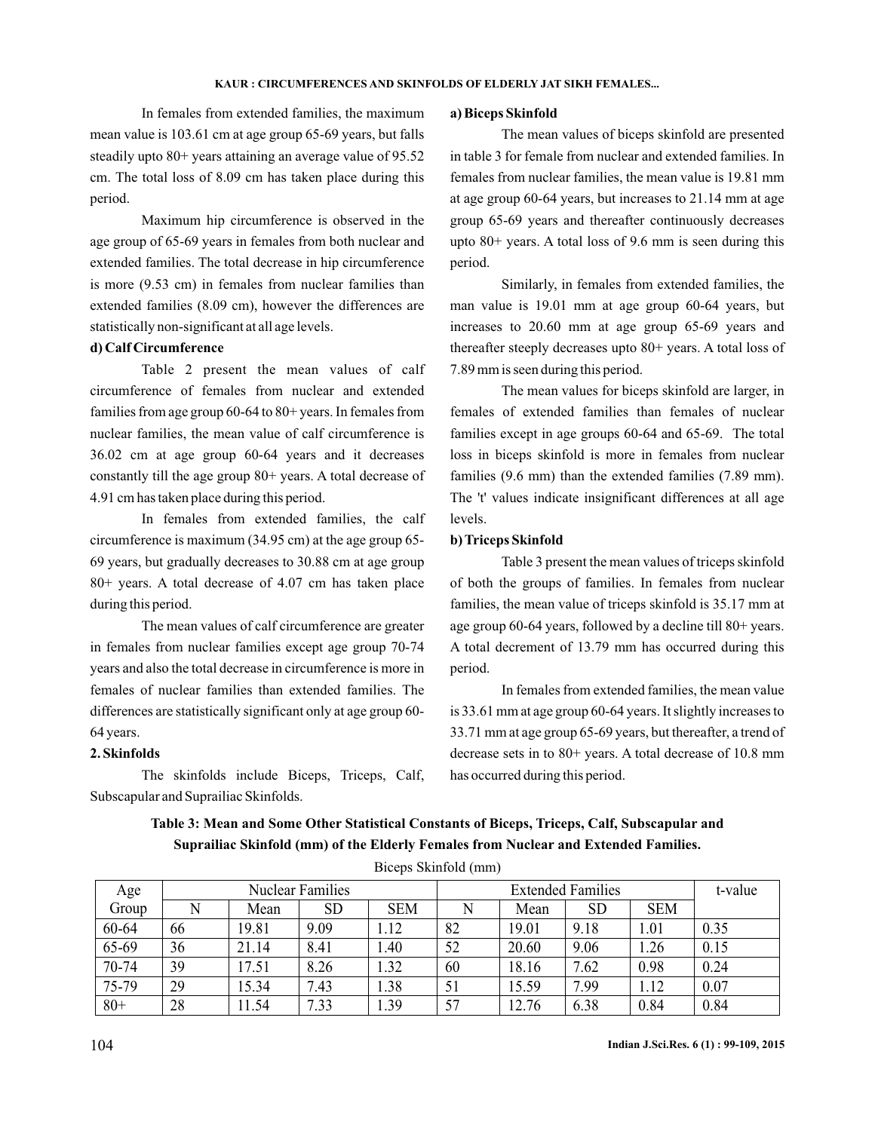In females from extended families, the maximum mean value is 103.61 cm at age group 65-69 years, but falls steadily upto 80+ years attaining an average value of 95.52 cm. The total loss of 8.09 cm has taken place during this period.

Maximum hip circumference is observed in the age group of 65-69 years in females from both nuclear and extended families. The total decrease in hip circumference is more (9.53 cm) in females from nuclear families than extended families (8.09 cm), however the differences are statistically non-significant at all age levels.

## **d) Calf Circumference**

Table 2 present the mean values of calf circumference of females from nuclear and extended families from age group 60-64 to 80+ years. In females from nuclear families, the mean value of calf circumference is 36.02 cm at age group 60-64 years and it decreases constantly till the age group 80+ years. A total decrease of 4.91 cm has taken place during this period.

In females from extended families, the calf circumference is maximum (34.95 cm) at the age group 65- 69 years, but gradually decreases to 30.88 cm at age group 80+ years. A total decrease of 4.07 cm has taken place during this period.

The mean values of calf circumference are greater in females from nuclear families except age group 70-74 years and also the total decrease in circumference is more in females of nuclear families than extended families. The differences are statistically significant only at age group 60- 64 years.

## **2. Skinfolds**

The skinfolds include Biceps, Triceps, Calf, Subscapular and Suprailiac Skinfolds.

### **a) Biceps Skinfold**

The mean values of biceps skinfold are presented in table 3 for female from nuclear and extended families. In females from nuclear families, the mean value is 19.81 mm at age group 60-64 years, but increases to 21.14 mm at age group 65-69 years and thereafter continuously decreases upto 80+ years. A total loss of 9.6 mm is seen during this period.

Similarly, in females from extended families, the man value is 19.01 mm at age group 60-64 years, but increases to 20.60 mm at age group 65-69 years and thereafter steeply decreases upto 80+ years. A total loss of 7.89 mm is seen during this period.

The mean values for biceps skinfold are larger, in females of extended families than females of nuclear families except in age groups 60-64 and 65-69. The total loss in biceps skinfold is more in females from nuclear families (9.6 mm) than the extended families (7.89 mm). The 't' values indicate insignificant differences at all age levels.

## **b) Triceps Skinfold**

Table 3 present the mean values of triceps skinfold of both the groups of families. In females from nuclear families, the mean value of triceps skinfold is 35.17 mm at age group 60-64 years, followed by a decline till 80+ years. A total decrement of 13.79 mm has occurred during this period.

In females from extended families, the mean value is 33.61 mm at age group 60-64 years. It slightly increases to 33.71 mm at age group 65-69 years, but thereafter, a trend of decrease sets in to 80+ years. A total decrease of 10.8 mm has occurred during this period.

| Age    |    |       | <b>Nuclear Families</b> |            |    |       | t-value   |            |      |  |  |  |
|--------|----|-------|-------------------------|------------|----|-------|-----------|------------|------|--|--|--|
| Group  |    | Mean  | SD                      | <b>SEM</b> |    | Mean  | <b>SD</b> | <b>SEM</b> |      |  |  |  |
| 60-64  | 66 | 19.81 | 9.09                    | 1.12       | 82 | 19.01 | 9.18      | 1.01       | 0.35 |  |  |  |
| 65-69  | 36 | 21.14 | 8.41                    | 1.40       | 52 | 20.60 | 9.06      | 1.26       | 0.15 |  |  |  |
| 70-74  | 39 | 17.51 | 8.26                    | 1.32       | 60 | 8.16  | 7.62      | 0.98       | 0.24 |  |  |  |
| 75-79  | 29 | 15.34 | 7.43                    | 1.38       | 51 | 5.59  | 7.99      | 1.12       | 0.07 |  |  |  |
| $80 +$ | 28 | 11.54 | 7.33                    | 1.39       | 57 | 12.76 | 6.38      | 0.84       | 0.84 |  |  |  |

**Table 3: Mean and Some Other Statistical Constants of Biceps, Triceps, Calf, Subscapular and Suprailiac Skinfold (mm) of the Elderly Females from Nuclear and Extended Families.**

Biceps Skinfold (mm)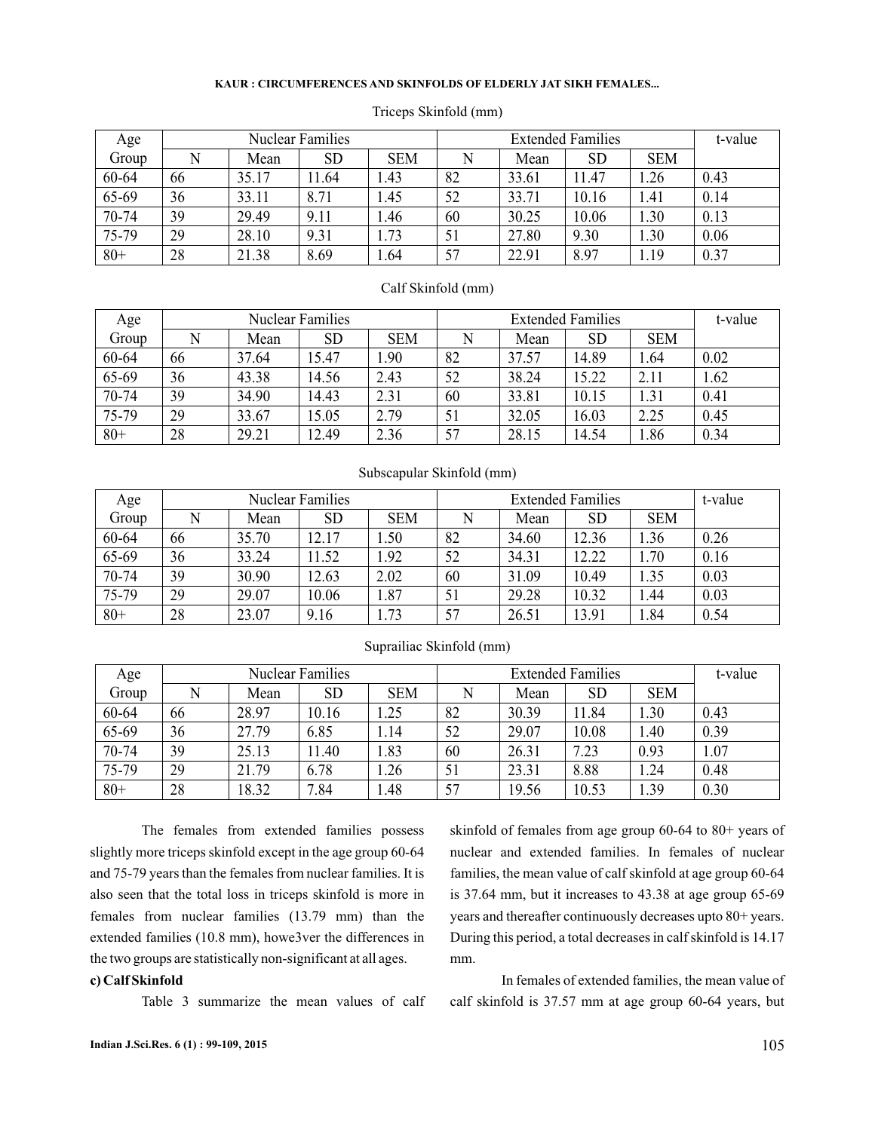| Age    |    |       | <b>Nuclear Families</b> |            |    |       | <b>Extended Families</b> |            | t-value |
|--------|----|-------|-------------------------|------------|----|-------|--------------------------|------------|---------|
| Group  |    | Mean  | SD                      | <b>SEM</b> |    | Mean  | <b>SD</b>                | <b>SEM</b> |         |
| 60-64  | 66 | 35.17 | 11.64                   | 1.43       | 82 | 33.61 | 11.47                    | .26        | 0.43    |
| 65-69  | 36 | 33.11 | 8.71                    | 1.45       | 52 | 33.71 | 10.16                    | 1.41       | 0.14    |
| 70-74  | 39 | 29.49 | 9.11                    | 1.46       | 60 | 30.25 | 10.06                    | 1.30       | 0.13    |
| 75-79  | 29 | 28.10 | 9.31                    | 1.73       | 51 | 27.80 | 9.30                     | 1.30       | 0.06    |
| $80 +$ | 28 | 21.38 | 8.69                    | 1.64       | 57 | 22.91 | 8.97                     | 1.19       | 0.37    |

### Triceps Skinfold (mm)

### Calf Skinfold (mm)

| Age    |    |       | <b>Nuclear Families</b> |            |    |       | <b>Extended Families</b> |            | t-value |
|--------|----|-------|-------------------------|------------|----|-------|--------------------------|------------|---------|
| Group  |    | Mean  | <b>SD</b>               | <b>SEM</b> |    | Mean  | <b>SD</b>                | <b>SEM</b> |         |
| 60-64  | 66 | 37.64 | 15.47                   | .90        | 82 | 37.57 | 14.89                    | 1.64       | 0.02    |
| 65-69  | 36 | 43.38 | 14.56                   | 2.43       | 52 | 38.24 | 15.22                    | 2.11       | 1.62    |
| 70-74  | 39 | 34.90 | 14.43                   | 2.31       | 60 | 33.81 | 10.15                    | 1.31       | 0.41    |
| 75-79  | 29 | 33.67 | 15.05                   | 2.79       |    | 32.05 | 16.03                    | 2.25       | 0.45    |
| $80 +$ | 28 | 29.21 | 12.49                   | 2.36       | 57 | 28.15 | 14.54                    | 1.86       | 0.34    |

| Subscapular Skinfold (mm) |  |  |
|---------------------------|--|--|
|---------------------------|--|--|

| Age    |    |       | <b>Nuclear Families</b> |            |    |       | <b>Extended Families</b> |            | t-value |
|--------|----|-------|-------------------------|------------|----|-------|--------------------------|------------|---------|
| Group  | N  | Mean  | <b>SD</b>               | <b>SEM</b> |    | Mean  | <b>SD</b>                | <b>SEM</b> |         |
| 60-64  | 66 | 35.70 | 12.17                   | .50        | 82 | 34.60 | 12.36                    | 1.36       | 0.26    |
| 65-69  | 36 | 33.24 | 11.52                   | 1.92       | 52 | 34.31 | 12.22                    | 1.70       | 0.16    |
| 70-74  | 39 | 30.90 | 12.63                   | 2.02       | 60 | 31.09 | 10.49                    | 1.35       | 0.03    |
| 75-79  | 29 | 29.07 | 10.06                   | 1.87       | 51 | 29.28 | 10.32                    | 1.44       | 0.03    |
| $80 +$ | 28 | 23.07 | 9.16                    | 1.73       | 57 | 26.51 | 13.91                    | 1.84       | 0.54    |

| Age   |    |       | <b>Nuclear Families</b> |            |    | t-value |           |            |      |
|-------|----|-------|-------------------------|------------|----|---------|-----------|------------|------|
| Group |    | Mean  | <b>SD</b>               | <b>SEM</b> |    | Mean    | <b>SD</b> | <b>SEM</b> |      |
| 60-64 | 66 | 28.97 | 10.16                   | 1.25       | 82 | 30.39   | 11.84     | 1.30       | 0.43 |
| 65-69 | 36 | 27.79 | 6.85                    | 1.14       | 52 | 29.07   | 10.08     | .40        | 0.39 |
| 70-74 | 39 | 25.13 | 11.40                   | 1.83       | 60 | 26.31   | 7.23      | 0.93       | 1.07 |
| 75-79 | 29 | 21.79 | 6.78                    | 1.26       | 51 | 23.31   | 8.88      | .24        | 0.48 |
| $80+$ | 28 | 18.32 | 7.84                    | 1.48       | 57 | 19.56   | 10.53     | 1.39       | 0.30 |

## Suprailiac Skinfold (mm)

The females from extended families possess slightly more triceps skinfold except in the age group 60-64 and 75-79 years than the females from nuclear families. It is also seen that the total loss in triceps skinfold is more in females from nuclear families (13.79 mm) than the extended families (10.8 mm), howe3ver the differences in the two groups are statistically non-significant at all ages.

### **c) Calf Skinfold**

Table 3 summarize the mean values of calf

skinfold of females from age group 60-64 to 80+ years of nuclear and extended families. In females of nuclear families, the mean value of calf skinfold at age group 60-64 is 37.64 mm, but it increases to 43.38 at age group 65-69 years and thereafter continuously decreases upto 80+ years. During this period, a total decreases in calf skinfold is 14.17 mm.

In females of extended families, the mean value of calf skinfold is 37.57 mm at age group 60-64 years, but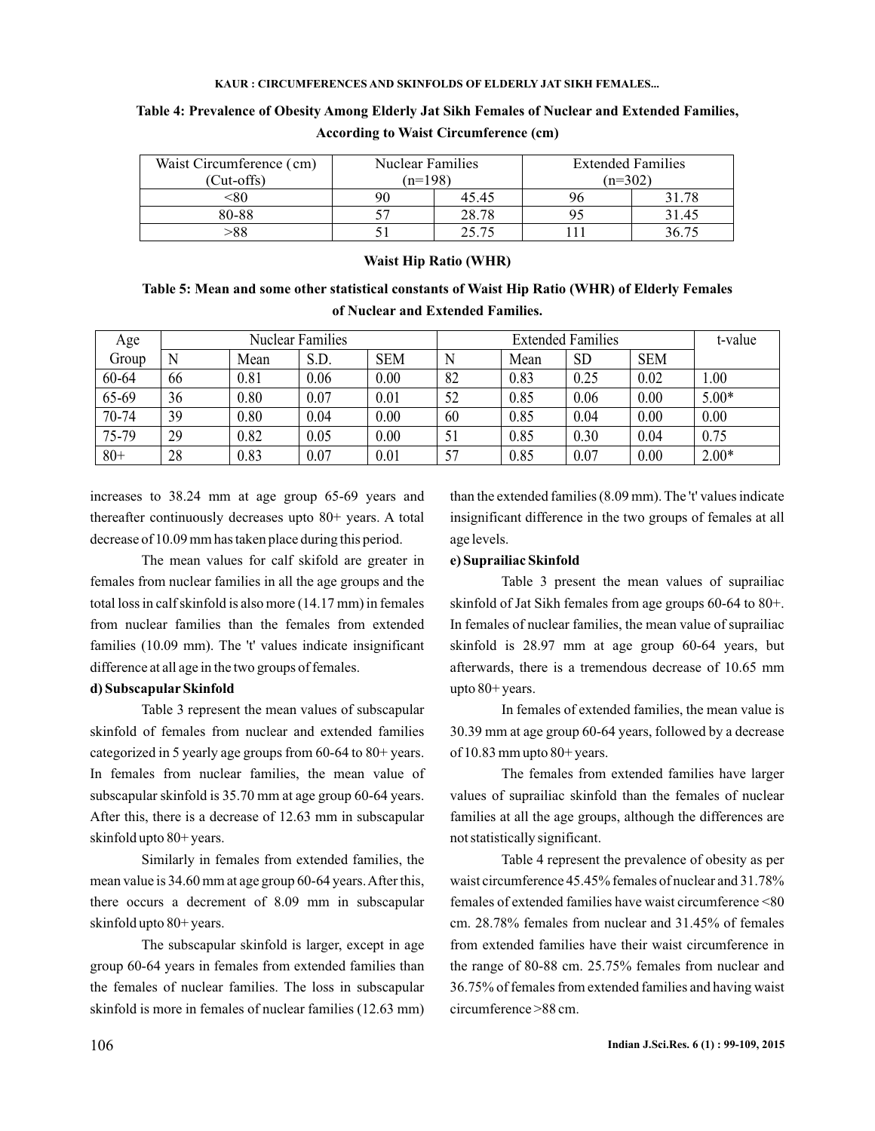| Waist Circumference (cm) | <b>Nuclear Families</b> |       | <b>Extended Families</b> |       |  |
|--------------------------|-------------------------|-------|--------------------------|-------|--|
| $(Cut-offs)$             | $(n=198)$               |       | $(n=302)$                |       |  |
| -80                      |                         | 45.45 |                          | 31.78 |  |
| 80-88                    |                         | 28.78 |                          | 31.45 |  |
| >88                      |                         | 25.75 |                          | 36.75 |  |

**Table 4: Prevalence of Obesity Among Elderly Jat Sikh Females of Nuclear and Extended Families, According to Waist Circumference (cm)**

## **Waist Hip Ratio (WHR)**

## **Table 5: Mean and some other statistical constants of Waist Hip Ratio (WHR) of Elderly Females of Nuclear and Extended Families.**

| Age   | <b>Nuclear Families</b> |      |      |            | <b>Extended Families</b> |      |           |            | t-value |
|-------|-------------------------|------|------|------------|--------------------------|------|-----------|------------|---------|
| Group | N                       | Mean | S.D. | <b>SEM</b> |                          | Mean | <b>SD</b> | <b>SEM</b> |         |
| 60-64 | 66                      | 0.81 | 0.06 | 0.00       | 82                       | 0.83 | 0.25      | 0.02       | 00.     |
| 65-69 | 36                      | 0.80 | 0.07 | 0.01       | 52                       | 0.85 | 0.06      | 0.00       | $5.00*$ |
| 70-74 | 39                      | 0.80 | 0.04 | 0.00       | 60                       | 0.85 | 0.04      | 0.00       | 0.00    |
| 75-79 | 29                      | 0.82 | 0.05 | 0.00       | 51                       | 0.85 | 0.30      | 0.04       | 0.75    |
| $80+$ | 28                      | 0.83 | 0.07 | 0.01       | 57                       | 0.85 | 0.07      | 0.00       | $2.00*$ |

increases to 38.24 mm at age group 65-69 years and thereafter continuously decreases upto 80+ years. A total decrease of 10.09 mm has taken place during this period.

The mean values for calf skifold are greater in females from nuclear families in all the age groups and the total loss in calf skinfold is also more (14.17 mm) in females from nuclear families than the females from extended families (10.09 mm). The 't' values indicate insignificant difference at all age in the two groups of females.

### **d) Subscapular Skinfold**

Table 3 represent the mean values of subscapular skinfold of females from nuclear and extended families categorized in 5 yearly age groups from 60-64 to 80+ years. In females from nuclear families, the mean value of subscapular skinfold is 35.70 mm at age group 60-64 years. After this, there is a decrease of 12.63 mm in subscapular skinfold upto 80+ years.

Similarly in females from extended families, the mean value is 34.60 mm at age group 60-64 years. After this, there occurs a decrement of 8.09 mm in subscapular skinfold upto 80+ years.

The subscapular skinfold is larger, except in age group 60-64 years in females from extended families than the females of nuclear families. The loss in subscapular skinfold is more in females of nuclear families (12.63 mm) than the extended families (8.09 mm). The 't' values indicate insignificant difference in the two groups of females at all age levels.

## **e) Suprailiac Skinfold**

Table 3 present the mean values of suprailiac skinfold of Jat Sikh females from age groups 60-64 to 80+. In females of nuclear families, the mean value of suprailiac skinfold is 28.97 mm at age group 60-64 years, but afterwards, there is a tremendous decrease of 10.65 mm upto 80+ years.

In females of extended families, the mean value is 30.39 mm at age group 60-64 years, followed by a decrease of 10.83 mm upto 80+ years.

The females from extended families have larger values of suprailiac skinfold than the females of nuclear families at all the age groups, although the differences are not statistically significant.

Table 4 represent the prevalence of obesity as per waist circumference 45.45% females of nuclear and 31.78% females of extended families have waist circumference <80 cm. 28.78% females from nuclear and 31.45% of females from extended families have their waist circumference in the range of 80-88 cm. 25.75% females from nuclear and 36.75% of females from extended families and having waist circumference >88 cm.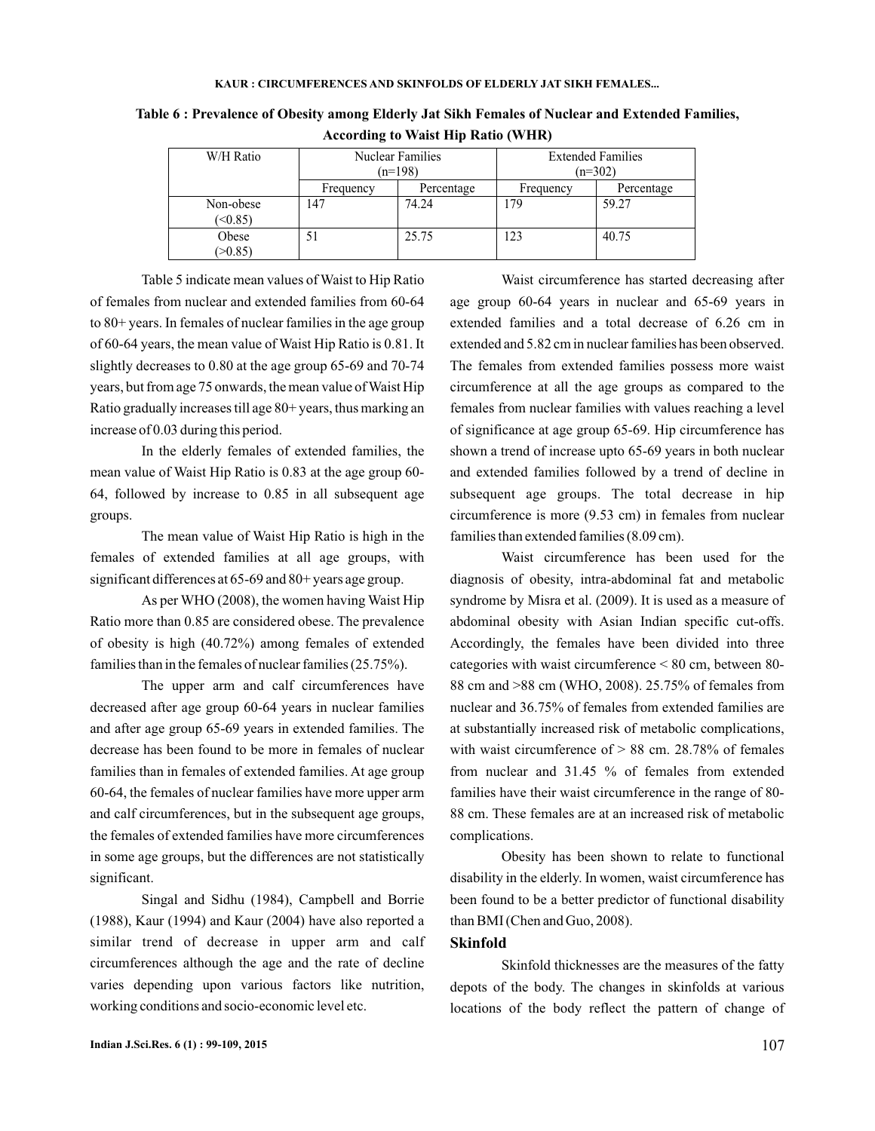| W/H Ratio            | <b>Nuclear Families</b><br>$(n=198)$ |            | <b>Extended Families</b><br>$(n=302)$ |            |  |
|----------------------|--------------------------------------|------------|---------------------------------------|------------|--|
|                      | Frequency                            | Percentage | Frequency                             | Percentage |  |
| Non-obese<br>(50.85) | 147                                  | 74.24      | 179                                   | 59.27      |  |
| Obese<br>(>0.85)     | 51                                   | 25.75      | 123                                   | 40.75      |  |

**Table 6 : Prevalence of Obesity among Elderly Jat Sikh Females of Nuclear and Extended Families, According to Waist Hip Ratio (WHR)**

Table 5 indicate mean values of Waist to Hip Ratio of females from nuclear and extended families from 60-64 to 80+ years. In females of nuclear families in the age group of 60-64 years, the mean value of Waist Hip Ratio is 0.81. It slightly decreases to 0.80 at the age group 65-69 and 70-74 years, but from age 75 onwards, the mean value of Waist Hip Ratio gradually increases till age 80+ years, thus marking an increase of 0.03 during this period.

In the elderly females of extended families, the mean value of Waist Hip Ratio is 0.83 at the age group 60- 64, followed by increase to 0.85 in all subsequent age groups.

The mean value of Waist Hip Ratio is high in the females of extended families at all age groups, with significant differences at 65-69 and 80+ years age group.

As per WHO (2008), the women having Waist Hip Ratio more than 0.85 are considered obese. The prevalence of obesity is high (40.72%) among females of extended families than in the females of nuclear families (25.75%).

The upper arm and calf circumferences have decreased after age group 60-64 years in nuclear families and after age group 65-69 years in extended families. The decrease has been found to be more in females of nuclear families than in females of extended families. At age group 60-64, the females of nuclear families have more upper arm and calf circumferences, but in the subsequent age groups, the females of extended families have more circumferences in some age groups, but the differences are not statistically significant.

Singal and Sidhu (1984), Campbell and Borrie (1988), Kaur (1994) and Kaur (2004) have also reported a similar trend of decrease in upper arm and calf circumferences although the age and the rate of decline varies depending upon various factors like nutrition, working conditions and socio-economic level etc.

Waist circumference has started decreasing after age group 60-64 years in nuclear and 65-69 years in extended families and a total decrease of 6.26 cm in extended and 5.82 cm in nuclear families has been observed. The females from extended families possess more waist circumference at all the age groups as compared to the females from nuclear families with values reaching a level of significance at age group 65-69. Hip circumference has shown a trend of increase upto 65-69 years in both nuclear and extended families followed by a trend of decline in subsequent age groups. The total decrease in hip circumference is more (9.53 cm) in females from nuclear families than extended families (8.09 cm).

Waist circumference has been used for the diagnosis of obesity, intra-abdominal fat and metabolic syndrome by Misra et al. (2009). It is used as a measure of abdominal obesity with Asian Indian specific cut-offs. Accordingly, the females have been divided into three categories with waist circumference < 80 cm, between 80- 88 cm and >88 cm (WHO, 2008). 25.75% of females from nuclear and 36.75% of females from extended families are at substantially increased risk of metabolic complications, with waist circumference of  $> 88$  cm. 28.78% of females from nuclear and 31.45 % of females from extended families have their waist circumference in the range of 80- 88 cm. These females are at an increased risk of metabolic complications.

Obesity has been shown to relate to functional disability in the elderly. In women, waist circumference has been found to be a better predictor of functional disability than BMI (Chen and Guo, 2008).

## **Skinfold**

Skinfold thicknesses are the measures of the fatty depots of the body. The changes in skinfolds at various locations of the body reflect the pattern of change of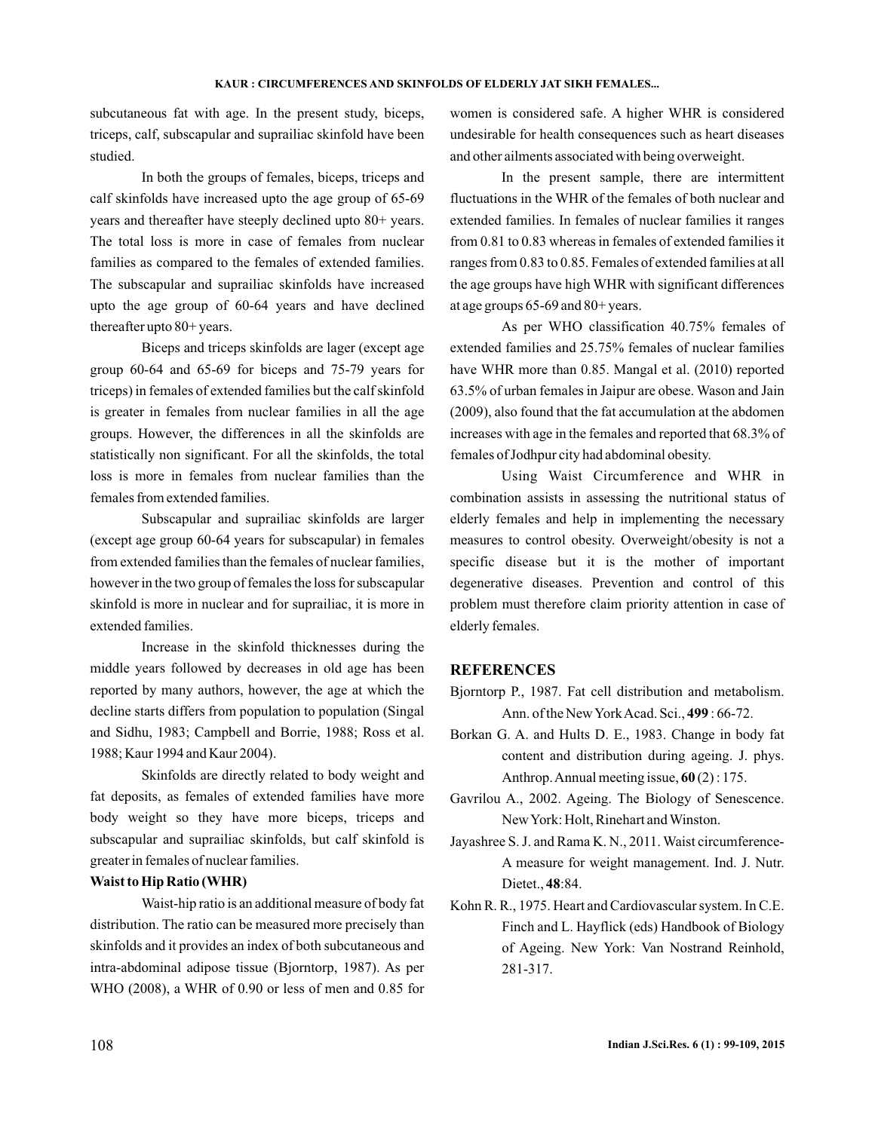subcutaneous fat with age. In the present study, biceps, triceps, calf, subscapular and suprailiac skinfold have been studied.

In both the groups of females, biceps, triceps and calf skinfolds have increased upto the age group of 65-69 years and thereafter have steeply declined upto 80+ years. The total loss is more in case of females from nuclear families as compared to the females of extended families. The subscapular and suprailiac skinfolds have increased upto the age group of 60-64 years and have declined thereafter upto 80+ years.

Biceps and triceps skinfolds are lager (except age group 60-64 and 65-69 for biceps and 75-79 years for triceps) in females of extended families but the calf skinfold is greater in females from nuclear families in all the age groups. However, the differences in all the skinfolds are statistically non significant. For all the skinfolds, the total loss is more in females from nuclear families than the females from extended families.

Subscapular and suprailiac skinfolds are larger (except age group 60-64 years for subscapular) in females from extended families than the females of nuclear families, however in the two group of females the loss for subscapular skinfold is more in nuclear and for suprailiac, it is more in extended families.

Increase in the skinfold thicknesses during the middle years followed by decreases in old age has been reported by many authors, however, the age at which the decline starts differs from population to population (Singal and Sidhu, 1983; Campbell and Borrie, 1988; Ross et al. 1988; Kaur 1994 and Kaur 2004).

Skinfolds are directly related to body weight and fat deposits, as females of extended families have more body weight so they have more biceps, triceps and subscapular and suprailiac skinfolds, but calf skinfold is greater in females of nuclear families.

### **Waist to Hip Ratio (WHR)**

Waist-hip ratio is an additional measure of body fat distribution. The ratio can be measured more precisely than skinfolds and it provides an index of both subcutaneous and intra-abdominal adipose tissue (Bjorntorp, 1987). As per WHO (2008), a WHR of 0.90 or less of men and 0.85 for women is considered safe. A higher WHR is considered undesirable for health consequences such as heart diseases and other ailments associated with being overweight.

In the present sample, there are intermittent fluctuations in the WHR of the females of both nuclear and extended families. In females of nuclear families it ranges from 0.81 to 0.83 whereas in females of extended families it ranges from 0.83 to 0.85. Females of extended families at all the age groups have high WHR with significant differences at age groups 65-69 and 80+ years.

As per WHO classification 40.75% females of extended families and 25.75% females of nuclear families have WHR more than 0.85. Mangal et al. (2010) reported 63.5% of urban females in Jaipur are obese. Wason and Jain (2009), also found that the fat accumulation at the abdomen increases with age in the females and reported that 68.3% of females of Jodhpur city had abdominal obesity.

Using Waist Circumference and WHR in combination assists in assessing the nutritional status of elderly females and help in implementing the necessary measures to control obesity. Overweight/obesity is not a specific disease but it is the mother of important degenerative diseases. Prevention and control of this problem must therefore claim priority attention in case of elderly females.

## **REFERENCES**

- Bjorntorp P., 1987. Fat cell distribution and metabolism. Ann. of the New York Acad. Sci., 499: 66-72.
- Borkan G. A. and Hults D. E., 1983. Change in body fat content and distribution during ageing. J. phys. Anthrop. Annual meeting issue,  $60(2)$ : 175.
- Gavrilou A., 2002. Ageing. The Biology of Senescence. NewYork: Holt, Rinehart and Winston.
- Jayashree S. J. and Rama K. N., 2011. Waist circumference-A measure for weight management. Ind. J. Nutr. Dietet., 48:84.
- Kohn R. R., 1975. Heart and Cardiovascular system. In C.E. Finch and L. Hayflick (eds) Handbook of Biology of Ageing. New York: Van Nostrand Reinhold, 281-317.